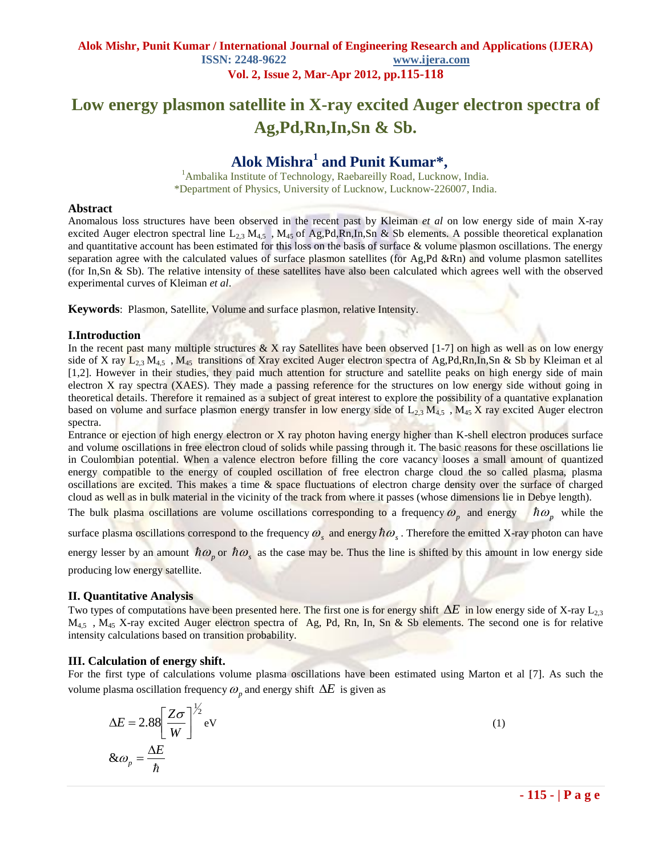# **Low energy plasmon satellite in X-ray excited Auger electron spectra of Ag,Pd,Rn,In,Sn & Sb.**

## **Alok Mishra<sup>1</sup> and Punit Kumar\* ,**

<sup>1</sup>Ambalika Institute of Technology, Raebareilly Road, Lucknow, India. \*Department of Physics, University of Lucknow, Lucknow-226007, India.

### **Abstract**

Anomalous loss structures have been observed in the recent past by Kleiman *et al* on low energy side of main X-ray excited Auger electron spectral line  $L_{2,3}$  M<sub>45</sub>, M<sub>45</sub> of Ag,Pd,Rn,In,Sn & Sb elements. A possible theoretical explanation and quantitative account has been estimated for this loss on the basis of surface  $\&$  volume plasmon oscillations. The energy separation agree with the calculated values of surface plasmon satellites (for Ag,Pd &Rn) and volume plasmon satellites (for In,Sn & Sb). The relative intensity of these satellites have also been calculated which agrees well with the observed experimental curves of Kleiman *et al*.

**Keywords**: Plasmon, Satellite, Volume and surface plasmon, relative Intensity.

## **I.Introduction**

In the recent past many multiple structures  $& X$  ray Satellites have been observed [1-7] on high as well as on low energy side of X ray  $L_{2,3} M_{4,5}$ , M<sub>45</sub> transitions of Xray excited Auger electron spectra of Ag,Pd,Rn,In,Sn & Sb by Kleiman et al [1,2]. However in their studies, they paid much attention for structure and satellite peaks on high energy side of main electron X ray spectra (XAES). They made a passing reference for the structures on low energy side without going in theoretical details. Therefore it remained as a subject of great interest to explore the possibility of a quantative explanation based on volume and surface plasmon energy transfer in low energy side of  $L_{2,3}$  M<sub>45</sub> , M<sub>45</sub> X ray excited Auger electron spectra.

Entrance or ejection of high energy electron or X ray photon having energy higher than K-shell electron produces surface and volume oscillations in free electron cloud of solids while passing through it. The basic reasons for these oscillations lie in Coulombian potential. When a valence electron before filling the core vacancy looses a small amount of quantized energy compatible to the energy of coupled oscillation of free electron charge cloud the so called plasma, plasma oscillations are excited. This makes a time & space fluctuations of electron charge density over the surface of charged cloud as well as in bulk material in the vicinity of the track from where it passes (whose dimensions lie in Debye length).

The bulk plasma oscillations are volume oscillations corresponding to a frequency  $\omega_p$  and energy  $\hbar \omega_p$  while the

surface plasma oscillations correspond to the frequency  $\omega_s$  and energy  $\hbar\omega_s$ . Therefore the emitted X-ray photon can have energy lesser by an amount  $\hbar \omega_p$  or  $\hbar \omega_s$  as the case may be. Thus the line is shifted by this amount in low energy side

producing low energy satellite.

## **II. Quantitative Analysis**

Two types of computations have been presented here. The first one is for energy shift  $\Delta E$  in low energy side of X-ray  $L_{2,3}$  $M_{4,5}$ ,  $M_{4,5}$  X-ray excited Auger electron spectra of Ag, Pd, Rn, In, Sn & Sb elements. The second one is for relative intensity calculations based on transition probability.

## **III. Calculation of energy shift.**

For the first type of calculations volume plasma oscillations have been estimated using Marton et al [7]. As such the volume plasma oscillation frequency  $\omega_p$  and energy shift  $\Delta E$  is given as

$$
\Delta E = 2.88 \left[ \frac{Z \sigma}{W} \right]^{1/2} \text{eV}
$$
  
 
$$
\& \omega_p = \frac{\Delta E}{\hbar}
$$
 (1)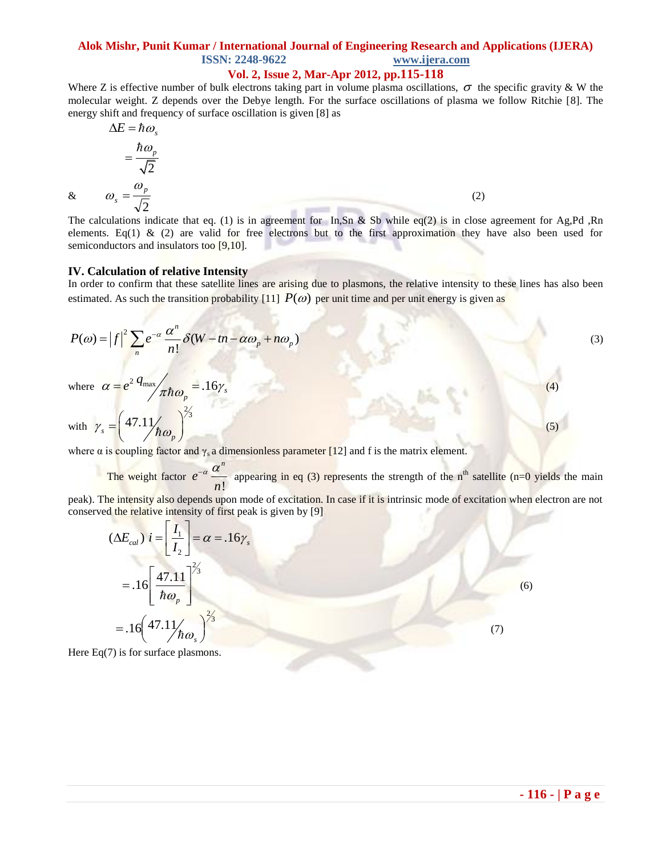## **Alok Mishr, Punit Kumar / International Journal of Engineering Research and Applications (IJERA) ISSN: 2248-9622 www.ijera.com**

## **Vol. 2, Issue 2, Mar-Apr 2012, pp.115-118**

Where Z is effective number of bulk electrons taking part in volume plasma oscillations,  $\sigma$  the specific gravity & W the molecular weight. Z depends over the Debye length. For the surface oscillations of plasma we follow Ritchie [8]. The energy shift and frequency of surface oscillation is given [8] as

$$
\Delta E = \hbar \omega_s
$$
  
=  $\frac{\hbar \omega_p}{\sqrt{2}}$   
 $\omega_s = \frac{\omega_p}{\sqrt{2}}$  (2)

&

 $(5)$ 

The calculations indicate that eq. (1) is in agreement for In,Sn & Sb while eq(2) is in close agreement for Ag,Pd ,Rn elements. Eq(1) & (2) are valid for free electrons but to the first approximation they have also been used for semiconductors and insulators too [9,10].

#### **IV. Calculation of relative Intensity**

In order to confirm that these satellite lines are arising due to plasmons, the relative intensity to these lines has also been estimated. As such the transition probability [11]  $P(\omega)$  per unit time and per unit energy is given as

$$
P(\omega) = |f|^2 \sum_{n} e^{-\alpha} \frac{\alpha^n}{n!} \delta(W - tn - \alpha \omega_p + n \omega_p)
$$
  
where  $\alpha = e^{2} q_{\text{max}}/r_{\text{max}} = .16\gamma$ , (3)

where  $\alpha = e^{2} \frac{q_{\text{max}}}{\pi \hbar \omega_p} = .16 \gamma_s$  $\alpha = e^2 \frac{q_{\text{max}}}{\pi \hbar \omega_p} = .16 \gamma_s$ 

with  $\gamma_s = \left(\frac{47.11}{h\omega_p}\right)^{2/3}$  $(47.11)^{\frac{2}{3}}$  $=\left(\frac{47.11}{\hbar\omega_p}\right)$ 

where  $\alpha$  is coupling factor and  $\gamma_s$  a dimensionless parameter [12] and f is the matrix element.

The weight factor  $e^{-\alpha} \frac{d\alpha}{n!}$ *n e n*  $-\alpha$   $\alpha$  appearing in eq (3) represents the strength of the n<sup>th</sup> satellite (n=0 yields the main

peak). The intensity also depends upon mode of excitation. In case if it is intrinsic mode of excitation when electron are not conserved the relative intensity of first peak is given by [9]

$$
(\Delta E_{cal}) i = \left[\frac{I_1}{I_2}\right] = \alpha = .16\gamma_s
$$
  
= .16  $\left[\frac{47.11}{\hbar \omega_p}\right]^{2/3}$   
= .16  $\left(47.11\right)_{\hbar \omega_s}^{2/3}$  (7)

Here  $Eq(7)$  is for surface plasmons.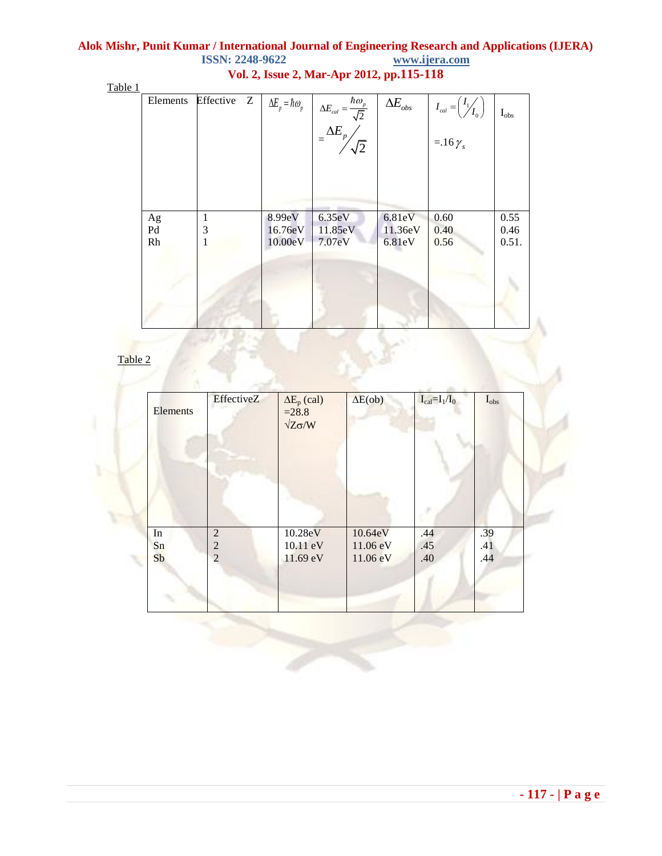## **Alok Mishr, Punit Kumar / International Journal of Engineering Research and Applications (IJERA) ISSN: 2248-9622 Vol. 2, Issue 2, Mar-Apr 2012, pp.115-118**

Table 1

| Elements | Effective<br>Z | $\Delta E_p = \hbar \omega_p$ | $\Delta E_{cal} = \frac{\hbar \omega_p}{\sqrt{2}}$<br>= $\Delta E_p / \sqrt{2}$ | $\Delta E_{\rm obs}$ | $I_{cal} = \left(\frac{I_1}{I_0}\right)$<br>=.16 $\gamma_s$ | $I_{obs}$ |
|----------|----------------|-------------------------------|---------------------------------------------------------------------------------|----------------------|-------------------------------------------------------------|-----------|
| Ag       | 1              | 8.99eV                        | 6.35eV                                                                          | 6.81eV               | 0.60                                                        | 0.55      |
| Pd       | 3              | 16.76eV                       | 11.85eV                                                                         | 11.36eV              | 0.40                                                        | 0.46      |
| Rh       | 1              | 10.00eV                       | 7.07eV                                                                          | 6.81eV               | 0.56                                                        | 0.51.     |

Table 2

| <b>Elements</b> | EffectiveZ     | $\Delta E_p$ (cal)<br>$= 28.8$<br>$\sqrt{Z\sigma/W}$ | $\Delta E(obj)$ | $I_{cal} = I_1/I_0$ | $I_{obs}$ |
|-----------------|----------------|------------------------------------------------------|-----------------|---------------------|-----------|
|                 |                |                                                      |                 |                     |           |
| In              | $\overline{2}$ | 10.28eV                                              | 10.64eV         | .44                 | .39       |
| Sn              | $\overline{c}$ | 10.11 eV                                             | 11.06 eV        | .45                 | .41       |
| Sb              | $\overline{2}$ | 11.69 eV                                             | 11.06 eV        | .40                 | .44       |